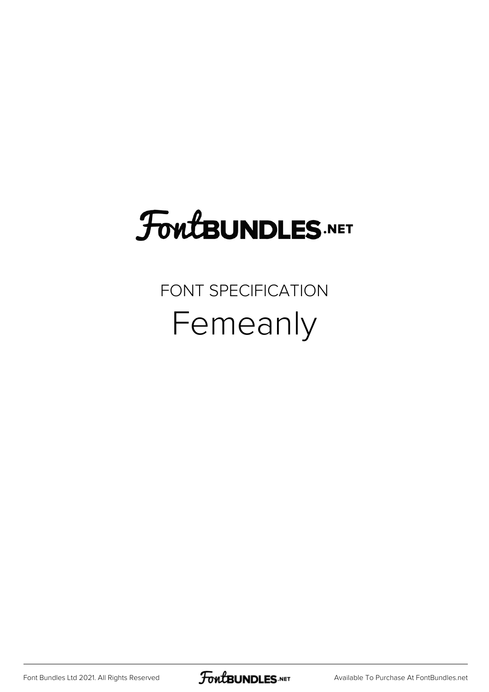## **FoutBUNDLES.NET**

FONT SPECIFICATION Femeanly

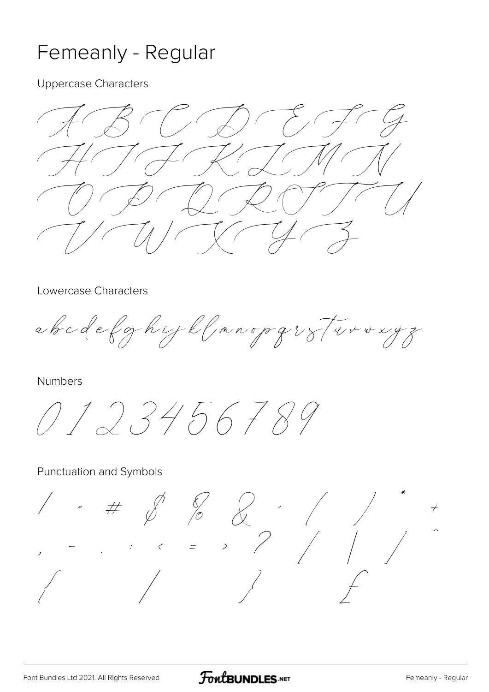## Femeanly - Regular

**Uppercase Characters** 



Lowercase Characters

abcdefghijklmnopgryTurvxyz

Numbers

0123456789

**Punctuation and Symbols** 

 $\#$   $\circledcirc$   $\circledcirc$   $\circ$   $\circ$  $\therefore$   $\therefore$   $\therefore$   $\therefore$   $\therefore$   $\therefore$   $\therefore$   $\therefore$   $\therefore$   $\therefore$   $\therefore$   $\therefore$   $\therefore$   $\therefore$   $\therefore$   $\therefore$   $\therefore$   $\therefore$   $\therefore$   $\therefore$   $\therefore$   $\therefore$   $\therefore$   $\therefore$   $\therefore$   $\therefore$   $\therefore$   $\therefore$   $\therefore$   $\therefore$   $\therefore$   $\therefore$   $\therefore$   $\therefore$   $\therefore$   $\therefore$   $\therefore$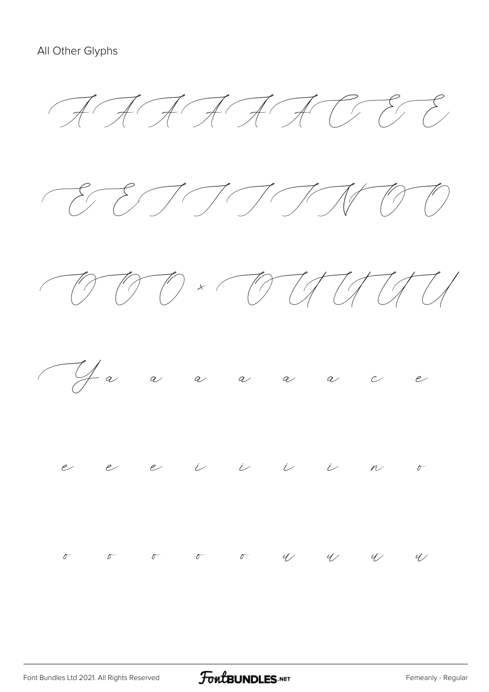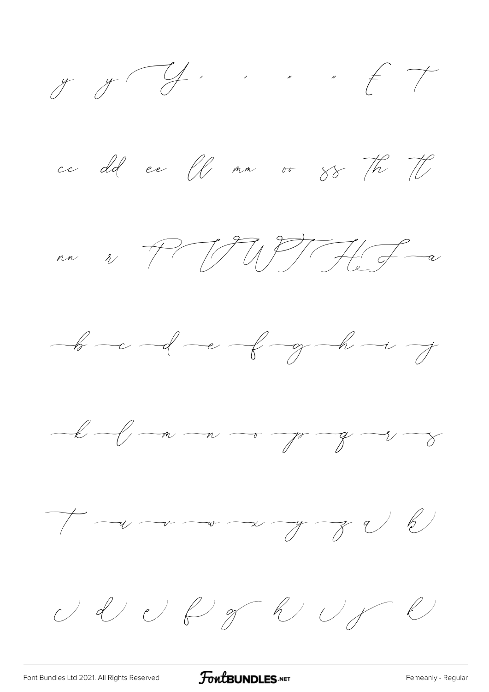

**FoutBUNDLES**.NET